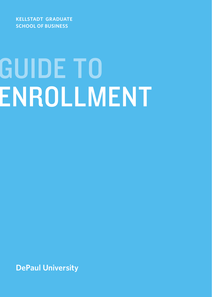**KELLSTADT GRADUATE SCHOOL OF BUSINESS**

# GUIDE TO<br>ENROLLMENT

**DePaul University**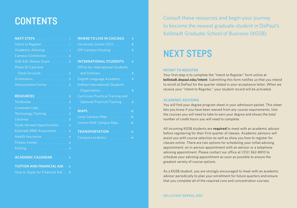## **CONTENTS**

| <b>NEXT STEPS Example 2018</b> |
|--------------------------------|
| Intent to Register 1           |
| Academic Advising              |
| Campus Connection 2            |
| GSB 420 Waiver Exam 2          |
| Photo ID Card and              |
| Email Account 2                |
|                                |
| Immunization Forms 2           |

| <b>RESOURCES</b> 3                                           |  |
|--------------------------------------------------------------|--|
|                                                              |  |
| Computer Labs 3                                              |  |
| Technology Training 3                                        |  |
| Libraries 3                                                  |  |
| Study Abroad Opportunities 3                                 |  |
| Kellstadt MBA Association 4                                  |  |
| Health Insurance 4                                           |  |
| Fitness Center 4                                             |  |
| Parking 4                                                    |  |
| <b>ACADEMIC CALENDAR ACADEMIC ACADEMIC ACADEMIC CALENDAR</b> |  |
| <b>TUITION AND FINANCIAL AID 6</b>                           |  |
| How to Apply for Financial Aid 6                             |  |

**WHERE TO LIVE IN CHICAGO . . . 8** University Center (UC) ........ 8 Off-Campus Housing ......... 8

| <b>INTERNATIONAL STUDENTS 9</b><br>Office for International Students |
|----------------------------------------------------------------------|
| and Scholars 9                                                       |
|                                                                      |
| English Language Academy<br>9                                        |
| <b>DePaul International Students</b>                                 |
| Organization 9                                                       |
| <b>Curricular Practical Training and</b>                             |
| Optional Practical Training 9                                        |
| m                                                                    |
| Loop Campus Map<br>$\overline{10}$                                   |
| Lincoln Park Campus Map 12                                           |
| <b>TRANSPORTATION</b><br><b><i>Charles Community</i></b>             |
| Campus Locations<br>$\overline{14}$                                  |

Consult these resources and begin your journey to become the newest graduate student in DePaul's Kellstadt Graduate School of Business (KGSB).

## NEXT STEPS

#### **INTENT TO REGISTER**

Your first step is to complete the "Intent to Register" form online at **kellstadt.depaul.edu/intent**. Submitting this form notifies us that you intend to enroll at DePaul for the quarter stated in your acceptance letter. When we receive your "Intent to Register," your student record will be activated.

#### **ACADEMIC ADVISING**

You will find your degree program sheet in your admission packet. This sheet lets you know if you have been waived from any course requirements, lists the courses you will need to take to earn your degree and shows the total number of credit hours you will need to complete.

All incoming KGSB students are **required** to meet with an academic advisor before registering for their first quarter of classes. Academic advisors will assist you with course selection as well as show you how to register for classes online. There are two options for scheduling your initial advising appointment: an in-person appointment with an advisor or a telephone advising appointment. Please contact our office at (312) 362-8810 to schedule your advising appointment as soon as possible to ensure the greatest variety of course options.

As a KGSB student, you are strongly encouraged to meet with an academic advisor periodically to plan your enrollment for future quarters and ensure that you complete all of the required core and concentration courses.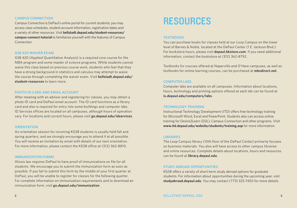#### **CAMPUS CONNECTION**

Campus Connection is DePaul's online portal for current students; you may access class schedules, student account information, registration dates and a variety of other resources. Visit **kellstadt.depaul.edu/student-resources/ campus-connect-tutorial** to familiarize yourself with the features of Campus Connection.

#### **GSB 420 WAIVER EXAM**

GSB 420 (Applied Quantitative Analysis) is a required core course for the MBA program and some master of science programs. While students cannot waive this class based on previous course work, students who feel that they have a strong background in statistics and calculus may attempt to waive the course through completing the waiver exam. Visit **kellstadt.depaul.edu/ student-resources** to learn more.

#### **PHOTO ID CARD AND EMAIL ACCOUNT**

After meeting with an advisor and registering for classes, you may obtain a photo ID card and DePaul email account. The ID card functions as a library card and also is required for entry into some buildings and computer labs. ID Services offices are located on all campuses, although hours of operation vary. For locations and current hours, please visit **go.depaul.edu/idservices**.

#### **ORIENTATION**

An orientation session for incoming KGSB students is usually held fall and spring quarters, and we strongly encourage you to attend if at all possible. You will receive an invitation by email with details of our next orientation. For more information, please contact the KGSB office at (312) 362-8810.

#### **IMMUNIZATION FORMS**

Illinois law requires DePaul to have proof of immunizations on file for all students. We encourage you to submit the immunization form as soon as possible. If you fail to submit this form by the middle of your first quarter at DePaul, you will be unable to register for classes for the following quarter. For complete information on immunization requirements and to download an immunization form, visit **go.depaul.edu/immunization**.

## RESOURCES

#### **TEXTBOOKS**

You can purchase books for classes held at our Loop Campus on the lower level of Barnes & Noble, located at the DePaul Center (1 E. Jackson Blvd.). For bookstore hours, please visit **depaul.bkstore.com**. If you need additional information, contact the bookstore at (312) 362-8792.

Textbooks for courses offered at Naperville and O'Hare campuses, as well as textbooks for online learning courses, can be purchased at **mbsdirect.net**.

#### **COMPUTER LABS**

Computer labs are available on all campuses. Information about locations, hours, technology and printing options offered at each lab can be found at **is.depaul.edu/computers/labs**.

#### **TECHNOLOGY TRAINING**

Instructional Technology Development (ITD) offers free technology training for Microsoft Word, Excel and PowerPoint. Students also can access online training for Desire2Learn (D2L), Campus Connection and other programs. Visit **www.itd.depaul.edu/website/students/training.asp** for more information.

#### **LIBRARIES**

The Loop Campus library (10th floor of the DePaul Center) primarily focuses on business materials. You also will have access to other campus libraries and online resources. Complete details about locations, hours and resources can be found at **library.depaul.edu**.

#### **STUDY ABROAD OPPORTUNITIES**

KGSB offers a variety of short-term study abroad options for graduate students. For information about opportunities during the upcoming year, visit **studyabroad.depaul.edu**. You may contact (773) 325-7450 for more details.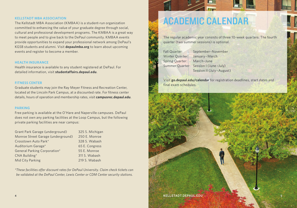#### **KELLSTADT MBA ASSOCIATION**

The Kellstadt MBA Association (KMBAA) is a student-run organization committed to enhancing the value of your graduate degree through social, cultural and professional development programs. The KMBAA is a great way to meet people and to give back to the DePaul community. KMBAA events provide opportunities to expand your professional network among DePaul's KGSB students and alumni. Visit **depaulmba.org** to learn about upcoming events and register to become a member.

#### **HEALTH INSURANCE**

Health insurance is available to any student registered at DePaul. For detailed information, visit **studentaffairs.depaul.edu**.

#### **FITNESS CENTER**

Graduate students may join the Ray Meyer Fitness and Recreation Center, located at the Lincoln Park Campus, at a discounted rate. For fitness center details, hours of operation and membership rates, visit **campusrec.depaul.edu**.

#### **PARKING**

Free parking is available at the O'Hare and Naperville campuses. DePaul does not own any parking facilities at the Loop Campus, but the following private parking facilities are near campus:

| Grant Park Garage (underground)    | 325 S. Michigan |
|------------------------------------|-----------------|
| Monroe Street Garage (underground) | 250 E. Monroe   |
| Crosstown Auto Park*               | 328 S. Wabash   |
| Auditorium Garage*                 | 65 E. Congress  |
| General Parking Corporation*       | 55 E. Monroe    |
| CNA Building*                      | 311 S. Wabash   |
| Mid City Parking                   | 219 S. Wabash   |

*\*These facilities offer discount rates for DePaul University. Claim check tickets can be validated at the DePaul Center, Lewis Center or CDM Center security stations.* 

# ACADEMIC CALENDAR

The regular academic year consists of three 10-week quarters. The fourth quarter (two summer sessions) is optional.

Fall Quarter: September-November Winter Quarter: January-March Spring Quarter: March–June Summer Quarter: Session I (June –July) Session II (July–August)

Visit **go.depaul.edu/calendar** for registration deadlines, start dates and final exam schedules.

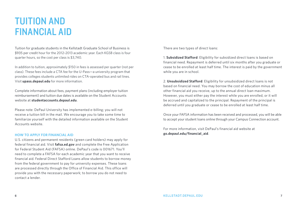# TUITION AND FINANCIAL AID

Tuition for graduate students in the Kellstadt Graduate School of Business is \$935 per credit hour for the 2012–2013 academic year. Each KGSB class is four quarter hours, so the cost per class is \$3,740.

In addition to tuition, approximately \$150 in fees is assessed per quarter (not per class). These fees include a CTA fee for the U-Pass—a university program that provides colleges students unlimited rides on CTA-operated bus and rail lines. Visit **upass.depaul.edu** for more information.

Complete information about fees, payment plans (including employer tuition reimbursement) and tuition due dates is available on the Student Accounts website at **studentaccounts.depaul.edu**.

Please note: DePaul University has implemented e-billing; you will not receive a tuition bill in the mail. We encourage you to take some time to familiarize yourself with the detailed information available on the Student Accounts website.

#### **HOW TO APPLY FOR FINANCIAL AID**

U.S. citizens and permanent residents (green card holders) may apply for federal financial aid. Visit **fafsa.ed.gov** and complete the Free Application for Federal Student Aid (FAFSA) online. DePaul's code is 001671. You'll need to complete a FAFSA for each academic year that you want to receive financial aid. Federal Direct Stafford Loans allow students to borrow money from the federal government to pay for university expenses. These loans are processed directly through the Office of Financial Aid. This office will provide you with the necessary paperwork; to borrow you do not need to contact a lender.

There are two types of direct loans:

1. **Subsidized Stafford**: Eligibility for subsidized direct loans is based on financial need. Repayment is deferred until six months after you graduate or cease to be enrolled at least half time. The interest is paid by the government while you are in school.

2. **Unsubsidized Stafford**: Eligibility for unsubsidized direct loans is not based on financial need. You may borrow the cost of education minus all other financial aid you receive, up to the annual direct loan maximum. However, you must either pay the interest while you are enrolled, or it will be accrued and capitalized to the principal. Repayment of the principal is deferred until you graduate or cease to be enrolled at least half time.

Once your FAFSA information has been received and processed, you will be able to accept your student loans online through your Campus Connection account.

For more information, visit DePaul's financial aid website at **go.depaul.edu/financial\_aid**.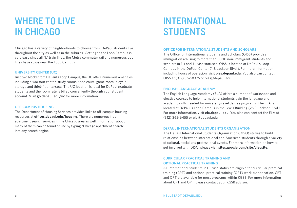# WHERE TO LIVE IN CHICAGO

Chicago has a variety of neighborhoods to choose from; DePaul students live throughout the city as well as in the suburbs. Getting to the Loop Campus is very easy since all "L" train lines, the Metra commuter rail and numerous bus lines have stops near the Loop Campus.

#### **UNIVERSITY CENTER (UC)**

Just two blocks from DePaul's Loop Campus, the UC offers numerous amenities, including a workout center, study rooms, food court, game room, bicycle storage and third-floor terrace. The UC location is ideal for DePaul graduate students and the room rate is billed conveniently through your student account. Visit **go.depaul.edu/uc** for more information.

#### **OFF-CAMPUS HOUSING**

The Department of Housing Services provides links to off-campus housing resources at **offices.depaul.edu/housing**. There are numerous free apartment search services in the Chicago area as well. Information about many of them can be found online by typing "Chicago apartment search" into any search engine.

## INTERNATIONAL **STUDENTS**

#### **OFFICE FOR INTERNATIONAL STUDENTS AND SCHOLARS**

The Office for International Students and Scholars (OISS) provides immigration advising to more than 1,000 non-immigrant students and scholars in F-1 and J-1 visa statuses. OISS is located at DePaul's Loop Campus in the DePaul Center (1 E. Jackson Blvd.). For more information, including hours of operation, visit **oiss.depaul.edu**. You also can contact OISS at (312) 362-8376 or oiss@depaul.edu.

#### **ENGLISH LANGUAGE ACADEMY**

The English Language Academy (ELA) offers a number of workshops and elective courses to help international students gain the language and academic skills needed for university-level degree programs. The ELA is located at DePaul's Loop Campus in the Lewis Building (25 E. Jackson Blvd.). For more information, visit **ela.depaul.edu**. You also can contact the ELA at (312) 362-6455 or ela@depaul.edu.

#### **DEPAUL INTERNATIONAL STUDENTS ORGANIZATION**

The DePaul International Students Organization (DISO) strives to build relationships between international and American students through a variety of cultural, social and professional events. For more information on how to get involved with DISO, please visit **sites.google.com/site/disosite**.

## **CURRICULAR PRACTICAL TRAINING AND OPTIONAL PRACTICAL TRAINING**

All international students in F-1 visa status are eligible for curricular practical training (CPT) and optional practical training (OPT) work authorization. CPT and OPT are available for most programs within KGSB. For more information about CPT and OPT, please contact your KGSB advisor.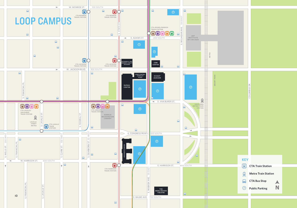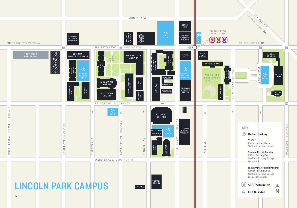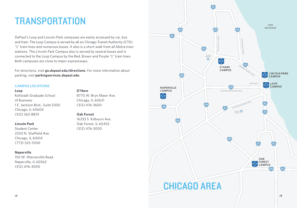# **TRANSPORTATION**

DePaul's Loop and Lincoln Park campuses are easily accessed by car, bus and train. The Loop Campus is served by all six Chicago Transit Authority (CTA) "L" train lines and numerous buses. It also is a short walk from all Metra train stations. The Lincoln Park Campus also is served by several buses and is connected to the Loop Campus by the Red, Brown and Purple "L" train lines. Both campuses are close to major expressways.

For directions, visit **go.depaul.edu/directions**. For more information about parking, visit **parkingservices.depaul.edu**.

## **CAMPUS LOCATIONS**

#### **Loop**

Kellstadt Graduate School of Business 1 E. Jackson Blvd., Suite 5300 Chicago, IL 60604 (312) 362-8810

## **Lincoln Park**

Student Center 2250 N. Sheffield Ave. Chicago, IL 60614 (773) 325-7000

#### **Naperville**

150 W. Warrenville Road Naperville, IL 60563 (312) 476-4500

## **O'Hare**

8770 W. Bryn Mawr Ave. Chicago, IL 60631 (312) 476-3600

#### **Oak Forest**

16333 S. Kilbourn Ave. Oak Forest, IL 60452 (312) 476-3000

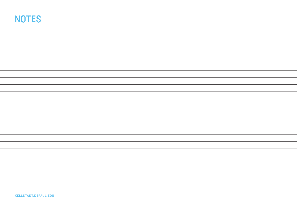| <b>NOTES</b> |  |  |  |
|--------------|--|--|--|
|              |  |  |  |
|              |  |  |  |
|              |  |  |  |
|              |  |  |  |
|              |  |  |  |
|              |  |  |  |
|              |  |  |  |
|              |  |  |  |
|              |  |  |  |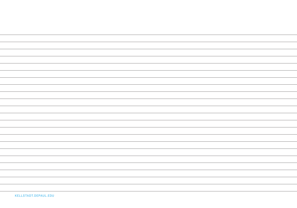KELLSTADT.DEPAUL.EDU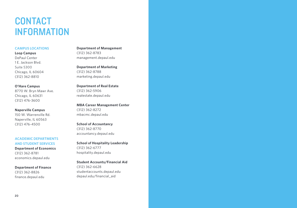# **CONTACT INFORMATION**

#### **CAMPUS LOCATIONS**

**Loop Campus** DePaul Center 1 E. Jackson Blvd. Suite 5300 Chicago, IL 60604 (312) 362-8810

**O'Hare Campus** 8770 W. Bryn Mawr Ave. Chicago, IL 60631 (312) 476-3600

**Naperville Campus** 150 W. Warrenville Rd. Naperville, IL 60563 (312) 476-4500

## **ACADEMIC DEPARTMENTS AND STUDENT SERVICES Department of Economics** (312) 362-8781

economics.depaul.edu

**Department of Finance** (312) 362-8826 finance.depaul.edu

**Department of Management** (312) 362-8783 management.depaul.edu

**Department of Marketing** (312) 362-8788 marketing.depaul.edu

**Department of Real Estate** (312) 362-5906 realestate.depaul.edu

**MBA Career Management Center** (312) 362-8272 mbacmc.depaul.edu

**School of Accountancy** (312) 362-8770 accountancy.depaul.edu

**School of Hospitality Leadership** (312) 362-6777 hospitality.depaul.edu

**Student Accounts/Financial Aid** (312) 362-6628 studentaccounts.depaul.edu depaul.edu/financial\_aid